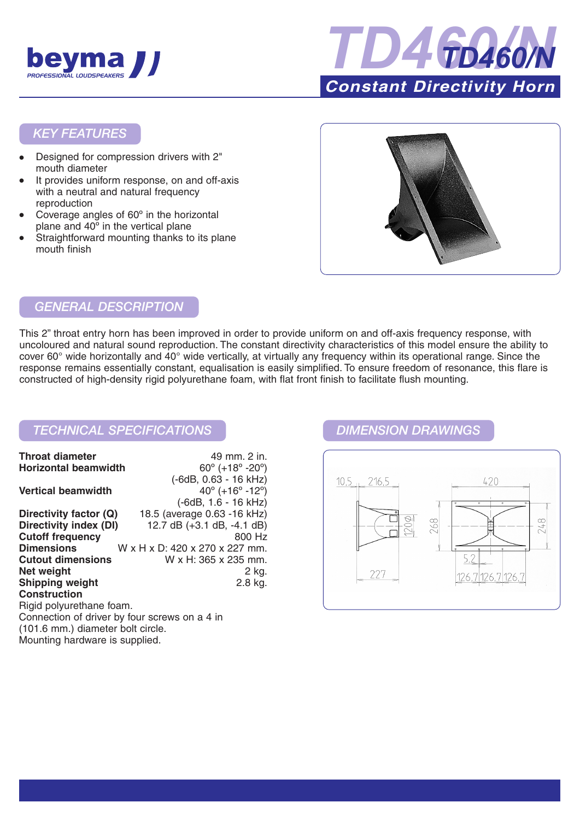



### *KEY FEATURES*

- Designed for compression drivers with 2" mouth diameter
- It provides uniform response, on and off-axis with a neutral and natural frequency reproduction
- Coverage angles of 60° in the horizontal plane and 40º in the vertical plane
- Straightforward mounting thanks to its plane mouth finish



# *GENERAL DESCRIPTION*

This 2" throat entry horn has been improved in order to provide uniform on and off-axis frequency response, with uncoloured and natural sound reproduction. The constant directivity characteristics of this model ensure the ability to cover 60° wide horizontally and 40° wide vertically, at virtually any frequency within its operational range. Since the response remains essentially constant, equalisation is easily simplified. To ensure freedom of resonance, this flare is constructed of high-density rigid polyurethane foam, with flat front finish to facilitate flush mounting.

## *TECHNICAL SPECIFICATIONS DIMENSION DRAWINGS*

| <b>Throat diameter</b>                        | 49 mm. 2 in.                                  |
|-----------------------------------------------|-----------------------------------------------|
| <b>Horizontal beamwidth</b>                   | $60^{\circ}$ (+18 $^{\circ}$ -20 $^{\circ}$ ) |
|                                               | (-6dB, 0.63 - 16 kHz)                         |
| <b>Vertical beamwidth</b>                     | $40^{\circ}$ (+16 $^{\circ}$ -12 $^{\circ}$ ) |
|                                               | (-6dB, 1.6 - 16 kHz)                          |
| Directivity factor (Q)                        | 18.5 (average 0.63 - 16 kHz)                  |
| Directivity index (DI)                        | 12.7 dB $(+3.1$ dB, $-4.1$ dB)                |
| <b>Cutoff frequency</b>                       | 800 Hz                                        |
| <b>Dimensions</b>                             | W x H x D: 420 x 270 x 227 mm.                |
| <b>Cutout dimensions</b>                      | W x H: 365 x 235 mm.                          |
| Net weight                                    | 2 kg.                                         |
| <b>Shipping weight</b>                        | 2.8 kg.                                       |
| <b>Construction</b>                           |                                               |
| Rigid polyurethane foam.                      |                                               |
| Connection of driver by four screws on a 4 in |                                               |
| (101.6 mm.) diameter bolt circle.             |                                               |
| Mounting hardware is supplied.                |                                               |